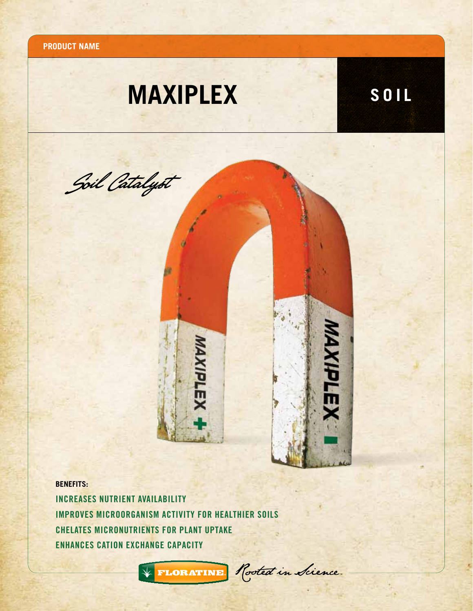**Product name**

## **MAXIPLEX SOIL**



**BENEFITS:**

Increases nutrient availability Improves microorganism activity for healthier soils Chelates micronutrients for plant uptake enhances cation exchange capacity



FLORATINE Rooted in Science